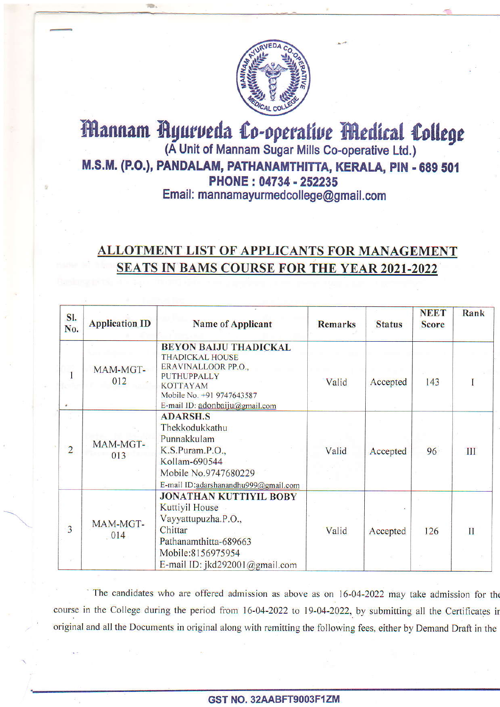

## Mannam Ayurveda Co-operative Medical College (A Unit of Mannam Sugar Mills Co-operative Ltd.) M.S.M. (P.O.), PANDALAM, PATHANAMTHITTA, KERALA, PIN - 689 501 PHONE: 04734 - 252235 Email: mannamayurmedcollege@gmail.com

## ALLOTMENT LIST OF APPLICANTS FOR MANAGEMENT SEATS IN BAMS COURSE FOR THE YEAR 2021-2022

| SI.<br>No.     | <b>Application ID</b> | <b>Name of Applicant</b>                                                                                                                                                              | <b>Remarks</b> | <b>Status</b> | <b>NEET</b><br><b>Score</b> | Rank    |
|----------------|-----------------------|---------------------------------------------------------------------------------------------------------------------------------------------------------------------------------------|----------------|---------------|-----------------------------|---------|
| 1<br>ø.        | MAM-MGT-<br>012       | <b>BEYON BALJU THADICKAL</b><br><b>THADICKAL HOUSE</b><br>ERAVINALLOOR PP.O.,<br><b>PUTHUPPALLY</b><br><b>KOTTAYAM</b><br>Mobile No. +91 9747643587<br>E-mail ID: adonbaiju@gmail.com | Valid          | Accepted      | 143                         | 1       |
| $\overline{2}$ | MAM-MGT-<br>013       | <b>ADARSH.S</b><br>Thekkodukkathu<br>Punnakkulam<br>K.S.Puram.P.O.,<br>Kollam-690544<br>Mobile No.9747680229<br>E-mail ID:adarshanandhu999@gmail.com                                  | Valid          | Accepted      | 96                          | III     |
| $\overline{3}$ | MAM-MGT-<br>014       | <b>JONATHAN KUTTIYIL BOBY</b><br><b>Kuttiyil House</b><br>Vayyattupuzha.P.O.,<br>Chittar<br>Pathanamthitta-689663<br>Mobile:8156975954<br>E-mail ID: jkd292001@gmail.com              | Valid          | Accepted      | 126                         | $_{II}$ |

The candidates who are offered admission as above as on 16-04-2022 may take admission for the course in the College during the period from 16-04-2022 to 19-04-2022, by submitting all the Certificates in original and all the Documents in original along with remitting the following fees, either by Demand Draft in the

## GST NO. 32AABFT9OO3F1ZM